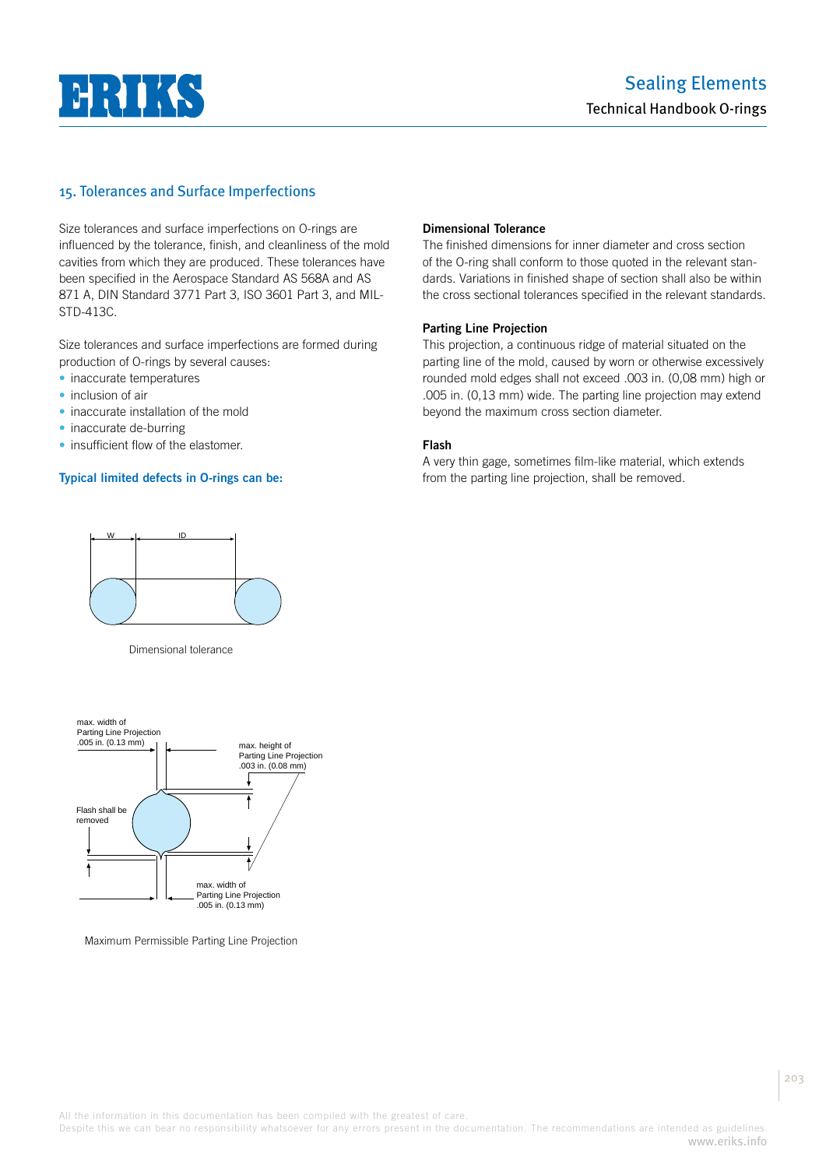

## 15. Tolerances and Surface Imperfections

Size tolerances and surface imperfections on O-rings are influenced by the tolerance, finish, and cleanliness of the mold cavities from which they are produced. These tolerances have been specified in the Aerospace Standard AS 568A and AS 871 A, DIN Standard 3771 Part 3, ISO 3601 Part 3, and MIL-STD-413C.

Size tolerances and surface imperfections are formed during production of O-rings by several causes:

- inaccurate temperatures
- inclusion of air
- inaccurate installation of the mold
- inaccurate de-burring
- insufficient flow of the elastomer.

#### **Typical limited defects in O-rings can be:**

#### **Dimensional Tolerance**

The finished dimensions for inner diameter and cross section of the O-ring shall conform to those quoted in the relevant standards. Variations in finished shape of section shall also be within the cross sectional tolerances specified in the relevant standards.

#### **Parting Line Projection**

This projection, a continuous ridge of material situated on the parting line of the mold, caused by worn or otherwise excessively rounded mold edges shall not exceed .003 in. (0,08 mm) high or .005 in. (0,13 mm) wide. The parting line projection may extend beyond the maximum cross section diameter.

#### **Flash**

A very thin gage, sometimes film-like material, which extends from the parting line projection, shall be removed.



Dimensional tolerance



Maximum Permissible Parting Line Projection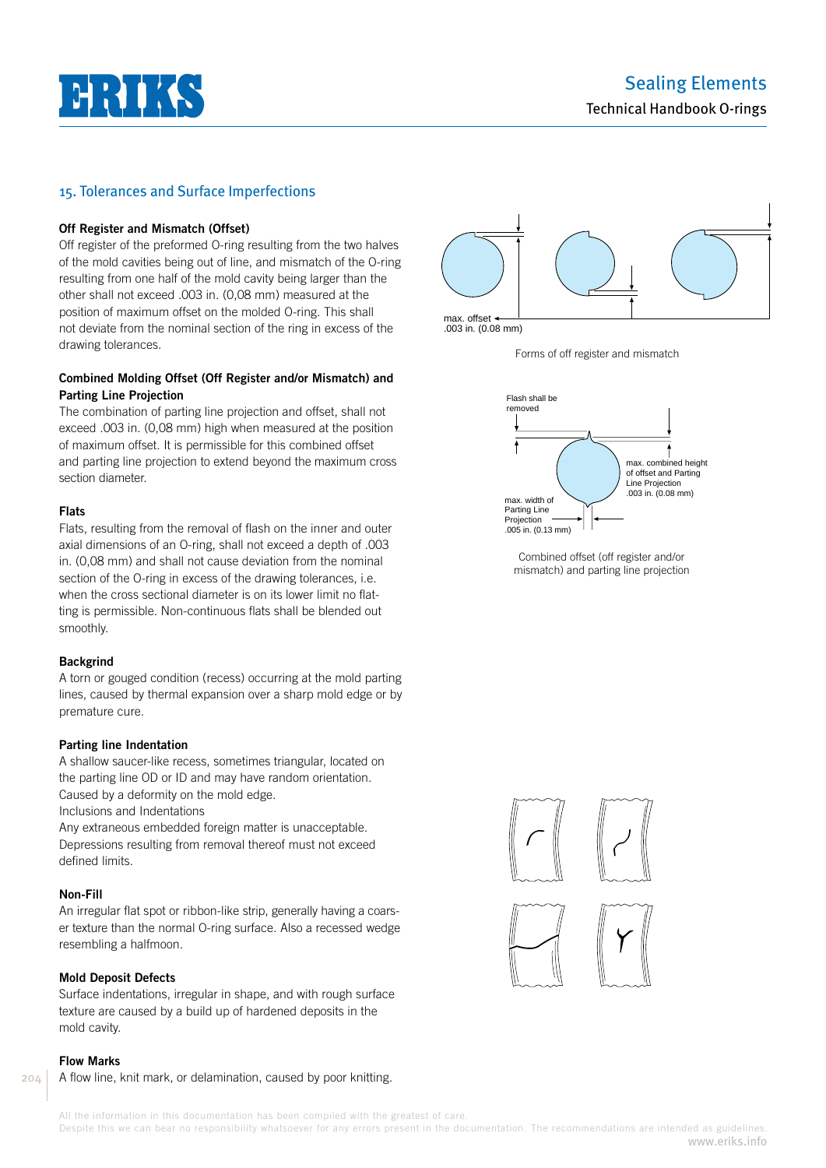# **HILL AN**

### 15. Tolerances and Surface Imperfections

#### **Off Register and Mismatch (Offset)**

Off register of the preformed O-ring resulting from the two halves of the mold cavities being out of line, and mismatch of the O-ring resulting from one half of the mold cavity being larger than the other shall not exceed .003 in. (0,08 mm) measured at the position of maximum offset on the molded O-ring. This shall not deviate from the nominal section of the ring in excess of the drawing tolerances.

#### **Combined Molding Offset (Off Register and/or Mismatch) and Parting Line Projection**

The combination of parting line projection and offset, shall not exceed .003 in. (0,08 mm) high when measured at the position of maximum offset. It is permissible for this combined offset and parting line projection to extend beyond the maximum cross section diameter.

#### **Flats**

Flats, resulting from the removal of flash on the inner and outer axial dimensions of an O-ring, shall not exceed a depth of .003 in. (0,08 mm) and shall not cause deviation from the nominal section of the O-ring in excess of the drawing tolerances, i.e. when the cross sectional diameter is on its lower limit no flatting is permissible. Non-continuous flats shall be blended out smoothly.

#### **Backgrind**

A torn or gouged condition (recess) occurring at the mold parting lines, caused by thermal expansion over a sharp mold edge or by premature cure.

#### **Parting line Indentation**

A shallow saucer-like recess, sometimes triangular, located on the parting line OD or ID and may have random orientation. Caused by a deformity on the mold edge.

Inclusions and Indentations

Any extraneous embedded foreign matter is unacceptable. Depressions resulting from removal thereof must not exceed defined limits.

#### **Non-Fill**

An irregular flat spot or ribbon-like strip, generally having a coarser texture than the normal O-ring surface. Also a recessed wedge resembling a halfmoon.

#### **Mold Deposit Defects**

Surface indentations, irregular in shape, and with rough surface texture are caused by a build up of hardened deposits in the mold cavity.

#### **Flow Marks**

204

A flow line, knit mark, or delamination, caused by poor knitting.



max. offset .003 in. (0.08 mm)





Combined offset (off register and/or mismatch) and parting line projection

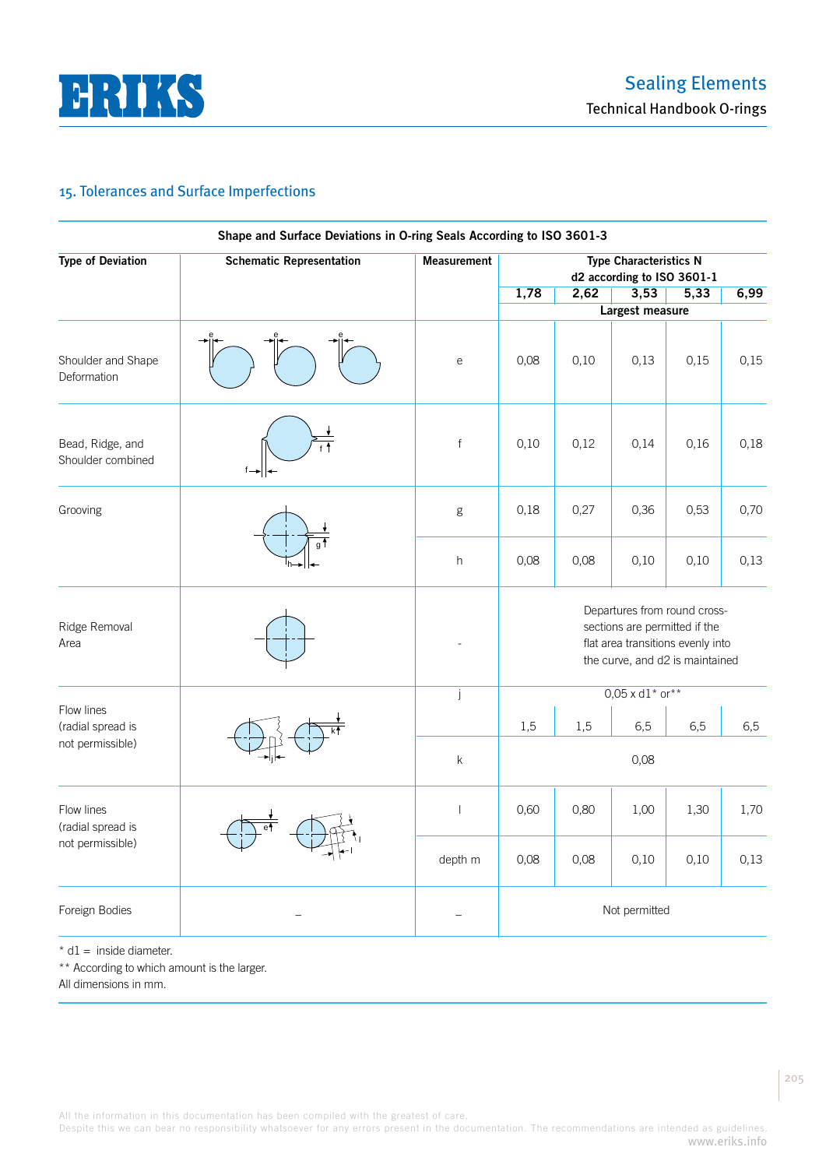

# 15. Tolerances and Surface Imperfections

| <b>Type of Deviation</b>              | <b>Schematic Representation</b> | <b>Measurement</b>                    |                                                                                                                                       |                        | <b>Type Characteristics N</b><br>d2 according to ISO 3601-1 |      |      |  |
|---------------------------------------|---------------------------------|---------------------------------------|---------------------------------------------------------------------------------------------------------------------------------------|------------------------|-------------------------------------------------------------|------|------|--|
|                                       |                                 |                                       | 1,78                                                                                                                                  | 2,62                   | 3,53                                                        | 5,33 | 6,99 |  |
|                                       |                                 |                                       |                                                                                                                                       | <b>Largest measure</b> |                                                             |      |      |  |
| Shoulder and Shape<br>Deformation     |                                 | $\mathsf{e}% _{t}\left( t\right)$     | 0,08                                                                                                                                  | 0,10                   | 0,13                                                        | 0,15 | 0,15 |  |
| Bead, Ridge, and<br>Shoulder combined |                                 | $\mathsf f$                           | 0,10                                                                                                                                  | 0,12                   | 0,14                                                        | 0,16 | 0,18 |  |
| Grooving                              |                                 | g                                     | 0,18                                                                                                                                  | 0,27<br>0,36           |                                                             | 0,53 | 0,70 |  |
|                                       |                                 | $\boldsymbol{\mathsf{h}}$             | 0,08                                                                                                                                  | 0,08                   | 0,10                                                        | 0,10 | 0,13 |  |
| Ridge Removal<br>Area                 |                                 |                                       | Departures from round cross-<br>sections are permitted if the<br>flat area transitions evenly into<br>the curve, and d2 is maintained |                        |                                                             |      |      |  |
|                                       |                                 | j                                     |                                                                                                                                       |                        | $0.05 \times d1$ * or**                                     |      |      |  |
| Flow lines<br>(radial spread is       |                                 |                                       | 1,5                                                                                                                                   | 1,5                    | 6,5                                                         | 6,5  | 6,5  |  |
| not permissible)                      |                                 | $\sf k$                               | 0,08                                                                                                                                  |                        |                                                             |      |      |  |
| Flow lines<br>(radial spread is       |                                 | $\begin{array}{c} \hline \end{array}$ | 0,60                                                                                                                                  | 0,80                   | 1,00                                                        | 1,30 | 1,70 |  |
| not permissible)                      |                                 | depth m                               | 0,08                                                                                                                                  | 0,08                   | 0,10                                                        | 0,10 | 0,13 |  |
| Foreign Bodies                        |                                 |                                       |                                                                                                                                       |                        | Not permitted                                               |      |      |  |

 $*$  d1 = inside diameter.

\*\* According to which amount is the larger.

All dimensions in mm.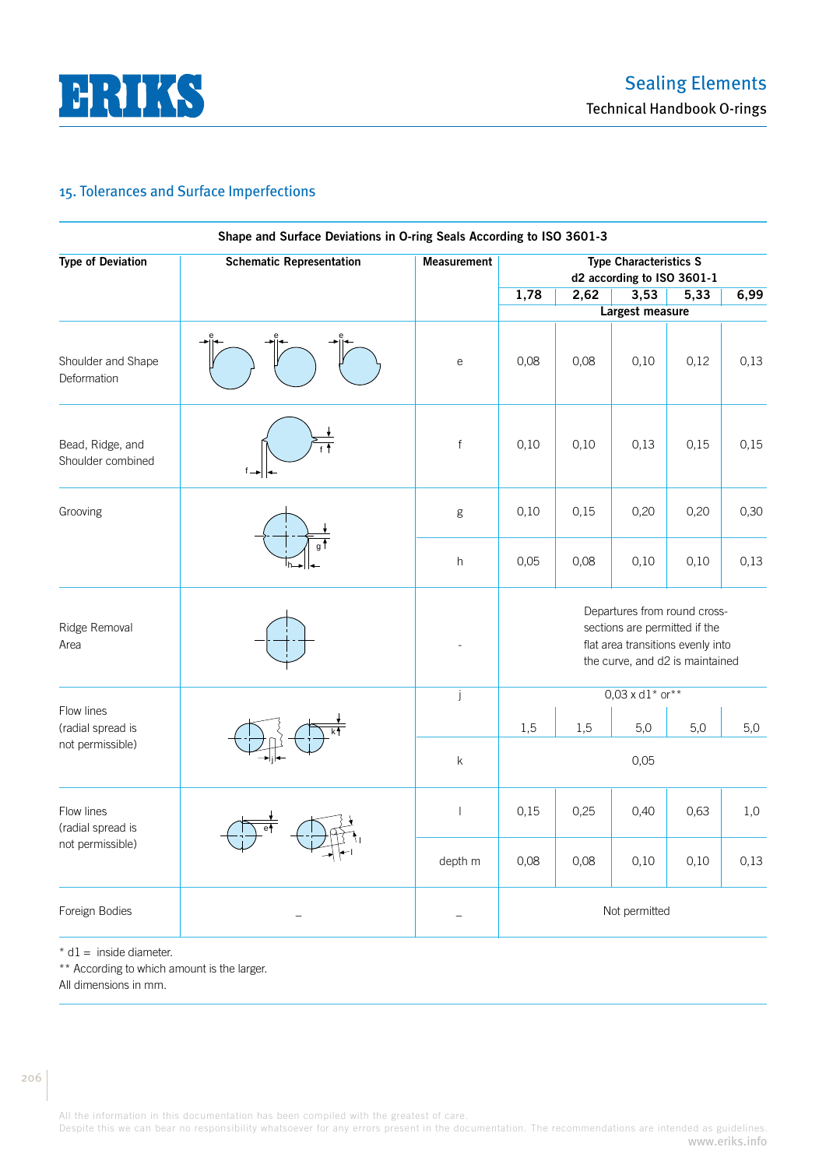

# 15. Tolerances and Surface Imperfections

| <b>Type of Deviation</b>                            | <b>Schematic Representation</b> | <b>Measurement</b>        |                                                                                                                                       |                   | <b>Type Characteristics S</b><br>d2 according to ISO 3601-1 |      |      |  |
|-----------------------------------------------------|---------------------------------|---------------------------|---------------------------------------------------------------------------------------------------------------------------------------|-------------------|-------------------------------------------------------------|------|------|--|
|                                                     |                                 |                           | 1,78                                                                                                                                  | 2,62              | 3,53                                                        | 5,33 | 6,99 |  |
|                                                     |                                 |                           | <b>Largest measure</b>                                                                                                                |                   |                                                             |      |      |  |
| Shoulder and Shape<br>Deformation                   |                                 | е                         | 0,08                                                                                                                                  | 0,08              | 0,10                                                        | 0,12 | 0,13 |  |
| Bead, Ridge, and<br>Shoulder combined               |                                 | $\mathsf{f}$              | 0,10                                                                                                                                  | 0,10              | 0,13                                                        | 0,15 | 0,15 |  |
| Grooving                                            |                                 | g                         | 0,10                                                                                                                                  | 0,15<br>0,20      |                                                             | 0,20 | 0,30 |  |
|                                                     |                                 | $\boldsymbol{\mathsf{h}}$ | 0,05                                                                                                                                  | 0,08              | 0,10                                                        | 0,10 | 0,13 |  |
| Ridge Removal<br>Area                               |                                 |                           | Departures from round cross-<br>sections are permitted if the<br>flat area transitions evenly into<br>the curve, and d2 is maintained |                   |                                                             |      |      |  |
|                                                     |                                 | j                         |                                                                                                                                       |                   | $0,03 \times d1^*$ or**                                     |      |      |  |
| Flow lines<br>(radial spread is                     |                                 |                           | 1,5                                                                                                                                   | 1,5<br>5,0<br>5,0 |                                                             |      |      |  |
| not permissible)                                    |                                 | k                         |                                                                                                                                       | 0,05              |                                                             |      |      |  |
| Flow lines<br>(radial spread is<br>not permissible) |                                 | $\overline{\phantom{a}}$  | 0,15                                                                                                                                  | 0,25              | 0,40                                                        | 0,63 | 1,0  |  |
|                                                     |                                 | depth m                   | 0,08                                                                                                                                  | 0,08              | 0,10                                                        | 0,10 | 0,13 |  |
| Foreign Bodies                                      |                                 |                           | Not permitted                                                                                                                         |                   |                                                             |      |      |  |

 $*$  d1 = inside diameter.

\*\* According to which amount is the larger.

All dimensions in mm.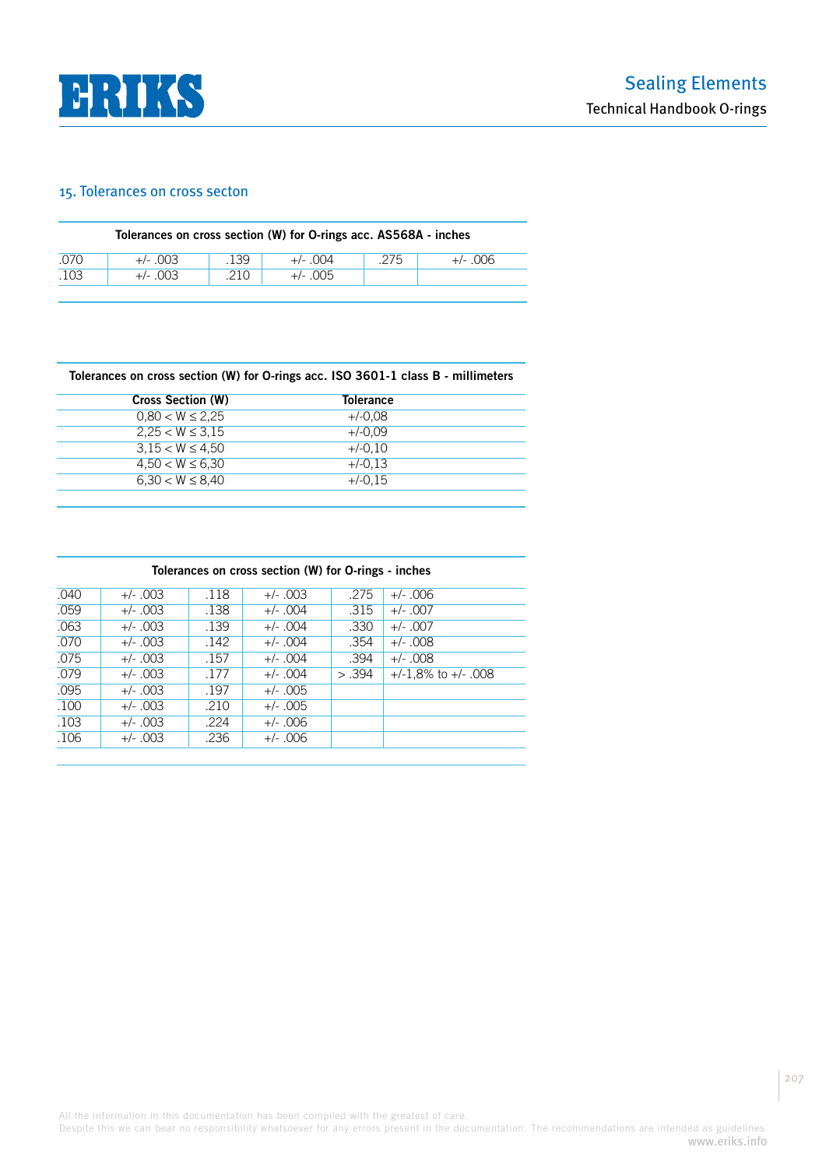

### 15. Tolerances on cross secton

|      | Tolerances on cross section (W) for O-rings acc. AS568A - inches |      |            |      |            |  |  |  |  |  |
|------|------------------------------------------------------------------|------|------------|------|------------|--|--|--|--|--|
| .070 | $+/-$ 003                                                        | .139 | $+/-$ 004  | .275 | $+/- .006$ |  |  |  |  |  |
| .103 | $+/-$ 003                                                        | .210 | $+/- .005$ |      |            |  |  |  |  |  |
|      |                                                                  |      |            |      |            |  |  |  |  |  |

**Tolerances on cross section (W) for O-rings acc. ISO 3601-1 class B - millimeters**

| <b>Cross Section (W)</b> | <b>Tolerance</b> |  |
|--------------------------|------------------|--|
| $0.80 < W \leq 2.25$     | $+/-0.08$        |  |
| $2.25 < W \leq 3.15$     | $+/-0.09$        |  |
| $3.15 < W \leq 4.50$     | $+/-0.10$        |  |
| $4.50 < W \leq 6.30$     | $+/-0.13$        |  |
| $6.30 < W \leq 8.40$     | +/-0.15          |  |
|                          |                  |  |

|      | Tolerances on cross section (W) for O-rings - inches |      |            |        |                          |  |  |  |  |  |
|------|------------------------------------------------------|------|------------|--------|--------------------------|--|--|--|--|--|
| .040 | $+/- .003$                                           | .118 | $+/- .003$ | .275   | $+/- .006$               |  |  |  |  |  |
| .059 | $+/- .003$                                           | .138 | $+/- .004$ | .315   | $+/- .007$               |  |  |  |  |  |
| .063 | $+/- .003$                                           | .139 | $+/- .004$ | .330   | $+/- .007$               |  |  |  |  |  |
| .070 | $+/- .003$                                           | .142 | $+/- .004$ | .354   | $+/-$ 008                |  |  |  |  |  |
| .075 | $+/- .003$                                           | .157 | $+/- .004$ | .394   | $+/-$ 008                |  |  |  |  |  |
| .079 | $+/- .003$                                           | .177 | $+/- .004$ | > .394 | $+/-1.8\%$ to $+/-$ .008 |  |  |  |  |  |
| .095 | $+/- .003$                                           | .197 | $+/- .005$ |        |                          |  |  |  |  |  |
| .100 | $+/- .003$                                           | .210 | $+/- .005$ |        |                          |  |  |  |  |  |
| .103 | $+/- .003$                                           | .224 | $+/- .006$ |        |                          |  |  |  |  |  |
| .106 | $+/- .003$                                           | .236 | $+/- .006$ |        |                          |  |  |  |  |  |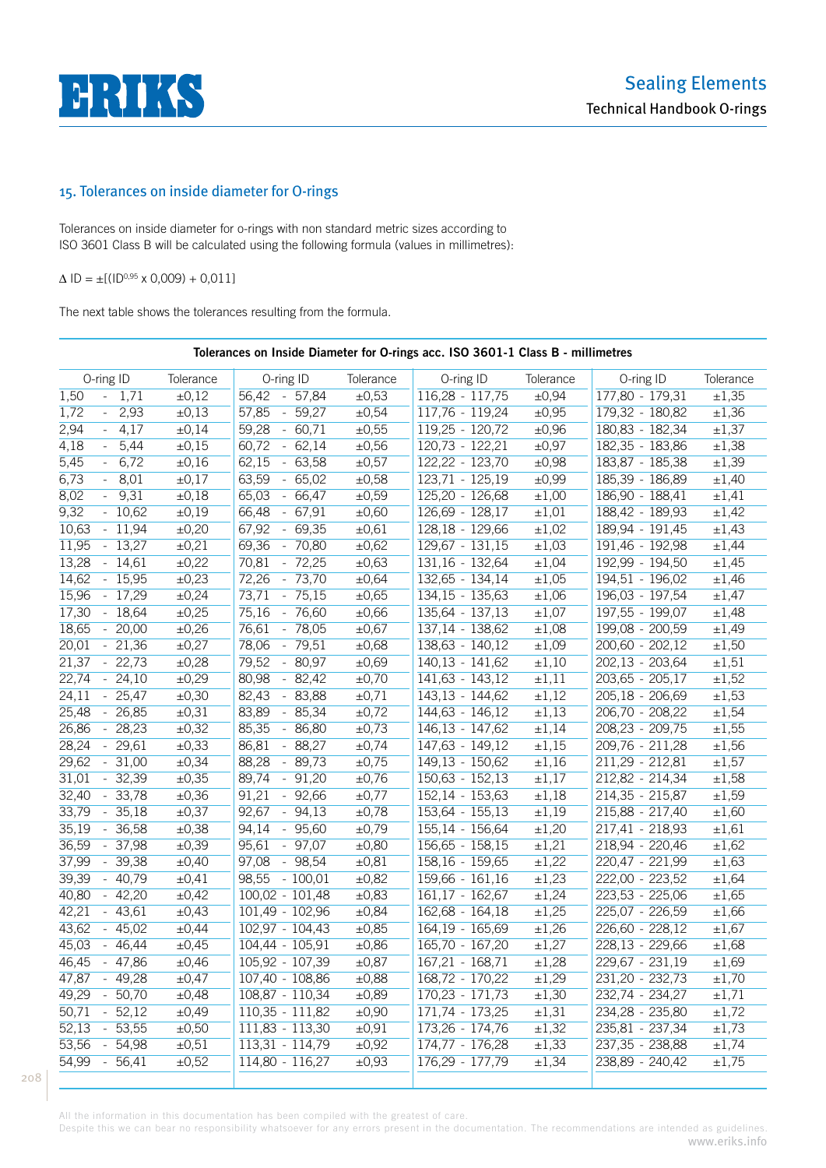

# 15. Tolerances on inside diameter for O-rings

Tolerances on inside diameter for o-rings with non standard metric sizes according to ISO 3601 Class B will be calculated using the following formula (values in millimetres):

 $\Delta$  ID =  $\pm$ [(ID<sup>0,95</sup> x 0,009) + 0,011]

The next table shows the tolerances resulting from the formula.

|                                |                       | Tolerances on Inside Diameter for O-rings acc. ISO 3601-1 Class B - millimetres |            |                   |            |                     |                       |
|--------------------------------|-----------------------|---------------------------------------------------------------------------------|------------|-------------------|------------|---------------------|-----------------------|
| O-ring ID                      | Tolerance             | O-ring ID                                                                       | Tolerance  | O-ring ID         | Tolerance  | O-ring ID           | Tolerance             |
| 1,50<br>$-1,71$                | $\pm 0,12$            | 56,42 - 57,84                                                                   | $\pm 0,53$ | $116,28 - 117,75$ | $\pm 0,94$ | $177,80 - 179,31$   | ±1,35                 |
| $-2,93$<br>1,72                | ±0,13                 | $57,85 - 59,27$                                                                 | $\pm 0,54$ | $117,76 - 119,24$ | ±0,95      | 179,32 - 180,82     | ±1,36                 |
| 2,94<br>$-4,17$                | $\pm 0,14$            | $59,28 - 60,71$                                                                 | ±0,55      | $119,25 - 120,72$ | ±0,96      | 180,83 - 182,34     | $\pm 1,37$            |
| 4,18<br>$-5,44$                | $\pm 0,15$            | $60,72 - 62,14$                                                                 | $\pm 0,56$ | $120,73 - 122,21$ | ±0,97      | $182,35 - 183,86$   | ±1,38                 |
| 5,45<br>$-6,72$                | $\pm 0,16$            | $62,15 - 63,58$                                                                 | $\pm 0,57$ | $122,22 - 123,70$ | $\pm 0,98$ | $183,87 - 185,38$   | ±1,39                 |
| 6,73<br>$-8,01$                | $\pm 0,17$            | $63,59 - 65,02$                                                                 | $\pm 0,58$ | $123,71 - 125,19$ | $\pm 0.99$ | 185,39 - 186,89     | $\pm 1,40$            |
| 8,02<br>$-9,31$                | $\pm 0,18$            | 65,03 - 66,47                                                                   | $\pm 0,59$ | $125,20 - 126,68$ | $\pm 1,00$ | $186,90 - 188,41$   | $\pm 1,41$            |
| 9,32<br>$-10,62$               | ±0,19                 | $66,48 - 67,91$                                                                 | $\pm 0,60$ | $126,69 - 128,17$ | $\pm 1,01$ | 188,42 - 189,93     | ±1,42                 |
| 10,63<br>$-11,94$              | ±0,20                 | $67,92 - 69,35$                                                                 | $\pm 0.61$ | $128,18 - 129,66$ | $\pm 1,02$ | $189,94 - 191,45$   | ±1,43                 |
| $-13,27$<br>11,95              | ±0,21                 | $69,36 - 70,80$                                                                 | $\pm 0,62$ | $129,67 - 131,15$ | $\pm 1,03$ | 191,46 - 192,98     | ±1,44                 |
| 13,28<br>$-14,61$              | ±0,22                 | 70,81 - 72,25                                                                   | $\pm 0,63$ | $131,16 - 132,64$ | $\pm 1,04$ | 192,99 - 194,50     | ±1,45                 |
| 14,62<br>$-15,95$              | ±0,23                 | 72,26 - 73,70                                                                   | $\pm 0,64$ | $132,65 - 134,14$ | ±1,05      | $194, 51 - 196, 02$ | ±1,46                 |
| 15,96<br>$-17,29$              | ±0,24                 | $73,71 - 75,15$                                                                 | $\pm 0,65$ | $134,15 - 135,63$ | ±1,06      | $196,03 - 197,54$   | $\pm 1,47$            |
| 17,30<br>$-18,64$              | ±0,25                 | 75,16 - 76,60                                                                   | $\pm 0,66$ | $135,64 - 137,13$ | $\pm 1,07$ | 197,55 - 199,07     | ±1,48                 |
| 18,65<br>$-20,00$              | ±0,26                 | 76,61 - 78,05                                                                   | $\pm 0,67$ | $137,14 - 138,62$ | ±1,08      | 199,08 - 200,59     | ±1,49                 |
| 20,01<br>$-21,36$              | ±0,27                 | 78,06 - 79,51                                                                   | $\pm 0,68$ | $138,63 - 140,12$ | ±1,09      | $200,60 - 202,12$   | $\pm 1,50$            |
| 21,37<br>$-22,73$              | $\pm 0,28$            | 79,52 - 80,97                                                                   | $\pm 0,69$ | $140,13 - 141,62$ | $\pm 1,10$ | $202,13 - 203,64$   | $\pm 1,51$            |
| 22,74<br>$-24,10$              | ±0,29                 | $80,98 - 82,42$                                                                 | $\pm 0,70$ | $141,63 - 143,12$ | $\pm 1,11$ | $203,65 - 205,17$   | ±1,52                 |
| $\overline{24,11}$<br>$-25,47$ | ±0,30                 | 82,43 - 83,88                                                                   | $\pm 0,71$ | $143,13 - 144,62$ | ±1,12      | $205,18 - 206,69$   | ±1,53                 |
| 25,48<br>$-26,85$              | ±0,31                 | $83,89 - 85,34$                                                                 | $\pm 0,72$ | $144,63 - 146,12$ | ±1,13      | $206,70 - 208,22$   | ±1,54                 |
| $-28,23$<br>26,86              | ±0,32                 | 85,35 - 86,80                                                                   | $\pm 0,73$ | $146,13 - 147,62$ | $\pm 1,14$ | $208,23 - 209,75$   | ±1,55                 |
| 28,24<br>$-29,61$              | ±0,33                 | 86,81 - 88,27                                                                   | $\pm 0,74$ | $147,63 - 149,12$ | ±1,15      | $209,76 - 211,28$   | ±1,56                 |
| 29,62<br>$-31,00$              | ±0,34                 | 88,28 - 89,73                                                                   | $\pm 0,75$ | $149,13 - 150,62$ | ±1,16      | $211,29 - 212,81$   | $\pm 1,57$            |
| 31,01<br>$-32,39$              | ±0,35                 | $89,74 - 91,20$                                                                 | $\pm 0,76$ | $150,63 - 152,13$ | $\pm 1,17$ | $212,82 - 214,34$   | ±1,58                 |
| 32,40<br>$-33,78$              | $\pm 0,36$            | $91,21 - 92,66$                                                                 | $\pm 0,77$ | $152,14 - 153,63$ | $\pm 1,18$ | $214,35 - 215,87$   | ±1,59                 |
| 33,79<br>$-35,18$              | ±0,37                 | $92,67 - 94,13$                                                                 | $\pm 0,78$ | $153,64 - 155,13$ | $\pm 1,19$ | $215,88 - 217,40$   | ±1,60                 |
| 35,19<br>- 36,58               | ±0,38                 | $94,14 - 95,60$                                                                 | $\pm 0,79$ | $155,14 - 156,64$ | $\pm 1,20$ | $217,41 - 218,93$   | $\pm 1,61$            |
| 36,59<br>- 37,98               | $\overline{\pm 0,}39$ | $95,61 - 97,07$                                                                 | $\pm 0,80$ | $156,65 - 158,15$ | $\pm 1,21$ | 218,94 - 220,46     | ±1,62                 |
| 37,99<br>- 39,38               | $\pm 0,40$            | 97,08 - 98,54                                                                   | $\pm 0.81$ | $158,16 - 159,65$ | ±1,22      | $220,47 - 221,99$   | $\pm 1,63$            |
| 39,39<br>- 40,79               | $\pm 0,41$            | $98,55 - 100,01$                                                                | ±0,82      | $159,66 - 161,16$ | ±1,23      | $222,00 - 223,52$   | $\pm 1,64$            |
| $-42,20$<br>40,80              | ±0,42                 | $100,02 - 101,48$                                                               | ±0,83      | $161,17 - 162,67$ | ±1,24      | $223,53 - 225,06$   | ±1,65                 |
| 42,21<br>$-43,61$              | ±0,43                 | $101,49 - 102,96$                                                               | $\pm 0,84$ | $162,68 - 164,18$ | ±1,25      | 225,07 - 226,59     | $\pm 1,66$            |
| 43,62<br>$-45,02$              | $\pm 0,44$            | $102,97 - 104,43$                                                               | ±0,85      | $164,19 - 165,69$ | ±1,26      | $226,60 - 228,12$   | $\pm 1,67$            |
| 45,03 - 46,44                  | ±0,45                 | $104,44 - 105,91$                                                               | $\pm 0,86$ | $165,70 - 167,20$ | $\pm 1,27$ | $228,13 - 229,66$   | ±1,68                 |
| - 47,86<br>46,45               | $\pm 0,46$            | 105,92 - 107,39                                                                 | $\pm 0.87$ | $167,21 - 168,71$ | ±1,28      | 229,67 - 231,19     | $\pm 1,69$            |
| 47,87 - 49,28                  | $\pm 0,47$            | 107,40 - 108,86                                                                 | $\pm 0,88$ | $168,72 - 170,22$ | ±1,29      | $231,20 - 232,73$   | ±1,70                 |
| 49,29<br>$-50,70$              | $\pm 0,48$            | $108,87 - 110,34$                                                               | $\pm 0,89$ | $170,23 - 171,73$ | ±1,30      | $232,74 - 234,27$   | $\pm 1,71$            |
| 50,71<br>52,12<br>$\equiv$     | $\pm 0,49$            | $110,35 - 111,82$                                                               | ±0,90      | $171,74 - 173,25$ | $\pm 1,31$ | 234,28 - 235,80     | ±1,72                 |
| 52,13<br>53,55<br>$\equiv$     | $\pm 0,50$            | $111,83 - 113,30$                                                               | $\pm 0.91$ | 173,26 - 174,76   | ±1,32      | $235,81 - 237,34$   | ±1,73                 |
| 53,56<br>54,98<br>$\omega$     | $\pm 0.51$            | $113,31 - 114,79$                                                               | ±0,92      | $174,77 - 176,28$ | ±1,33      | 237, 35 - 238, 88   | ±1,74                 |
| 54,99<br>56,41<br>$\omega$     | $\overline{\pm 0,52}$ | $114,80 - 116,27$                                                               | $\pm 0,93$ | $176,29 - 177,79$ | ±1,34      | 238,89 - 240,42     | $\overline{\pm 1,}75$ |

All the information in this documentation has been compiled with the greatest of care.

Despite this we can bear no responsibility whatsoever for any errors present in the documentation. The recommendations are intended as guidelines. www.eriks.info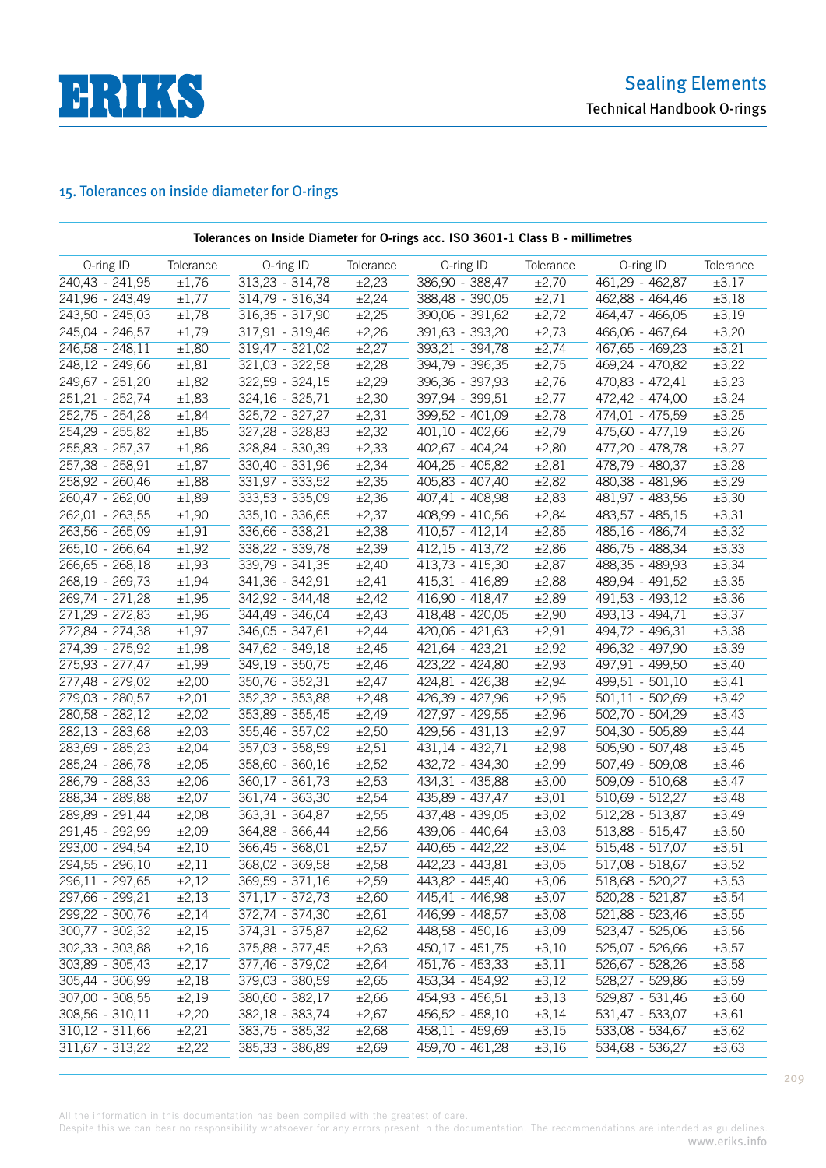

# 15. Tolerances on inside diameter for O-rings

|                   | Tolerances on Inside Diameter for O-rings acc. ISO 3601-1 Class B - millimetres |                   |                       |                   |                       |                              |            |  |  |  |  |
|-------------------|---------------------------------------------------------------------------------|-------------------|-----------------------|-------------------|-----------------------|------------------------------|------------|--|--|--|--|
| O-ring ID         | Tolerance                                                                       | O-ring ID         | Tolerance             | O-ring ID         | Tolerance             | O-ring ID                    | Tolerance  |  |  |  |  |
| 240,43 - 241,95   | ±1,76                                                                           | 313,23 - 314,78   | ±2,23                 | 386,90 - 388,47   | $\pm 2,70$            | 461,29 - 462,87              | $\pm 3,17$ |  |  |  |  |
| 241,96 - 243,49   | $\pm 1,77$                                                                      | 314,79 - 316,34   | $\pm 2,24$            | $388,48 - 390,05$ | $\pm 2,71$            | 462,88 - 464,46              | $\pm 3,18$ |  |  |  |  |
| $243,50 - 245,03$ | ±1,78                                                                           | 316,35 - 317,90   | ±2,25                 | 390,06 - 391,62   | ±2,72                 | 464,47 - 466,05              | $\pm 3,19$ |  |  |  |  |
| 245,04 - 246,57   | ±1,79                                                                           | 317,91 - 319,46   | ±2,26                 | 391,63 - 393,20   | ±2,73                 | $466,06 - 467,64$            | $\pm 3,20$ |  |  |  |  |
| 246,58 - 248,11   | ±1,80                                                                           | 319,47 - 321,02   | ±2,27                 | $393,21 - 394,78$ | ±2,74                 | 467,65 - 469,23              | $\pm 3,21$ |  |  |  |  |
| 248,12 - 249,66   | $\pm 1,81$                                                                      | $321,03 - 322,58$ | ±2,28                 | 394,79 - 396,35   | ±2,75                 | 469,24 - 470,82              | ±3,22      |  |  |  |  |
| 249,67 - 251,20   | ±1,82                                                                           | $322,59 - 324,15$ | ±2,29                 | $396,36 - 397,93$ | ±2,76                 | $470,83 - 472,41$            | ±3,23      |  |  |  |  |
| 251,21 - 252,74   | $\pm 1,83$                                                                      | 324,16 - 325,71   | $\pm 2,30$            | 397,94 - 399,51   | $\pm 2,77$            | $472,42 - 474,00$            | $\pm 3,24$ |  |  |  |  |
| $252,75 - 254,28$ | $\pm 1,84$                                                                      | 325,72 - 327,27   | $\pm 2,31$            | $399,52 - 401,09$ | ±2,78                 | 474,01 - 475,59              | $\pm 3,25$ |  |  |  |  |
| 254,29 - 255,82   | $\pm 1,85$                                                                      | 327,28 - 328,83   | ±2,32                 | $401,10 - 402,66$ | ±2,79                 | $475,60 - 477,19$            | $\pm 3,26$ |  |  |  |  |
| $255,83 - 257,37$ | $\pm 1,86$                                                                      | 328,84 - 330,39   | ±2,33                 | $402,67 - 404,24$ | ±2,80                 | 477,20 - 478,78              | $\pm 3,27$ |  |  |  |  |
| 257,38 - 258,91   | $\pm 1,87$                                                                      | $330,40 - 331,96$ | ±2,34                 | 404,25 - 405,82   | $\pm 2,81$            | 478,79 - 480,37              | $\pm 3,28$ |  |  |  |  |
| 258,92 - 260,46   | $\pm 1,88$                                                                      | 331,97 - 333,52   | ±2,35                 | $405,83 - 407,40$ | ±2,82                 | 480,38 - 481,96              | $\pm 3,29$ |  |  |  |  |
| 260,47 - 262,00   | ±1,89                                                                           | $333,53 - 335,09$ | ±2,36                 | 407,41 - 408,98   | $\pm 2,83$            | 481,97 - 483,56              | $\pm 3,30$ |  |  |  |  |
| $262,01 - 263,55$ | $\pm 1,90$                                                                      | $335,10 - 336,65$ | $\pm 2,37$            | $408,99 - 410,56$ | $\pm 2,84$            | $483,57 - 485,15$            | $\pm 3,31$ |  |  |  |  |
| $263,56 - 265,09$ | $\pm 1,91$                                                                      | 336,66 - 338,21   | ±2,38                 | $410,57 - 412,14$ | ±2,85                 | $485,16 - 486,74$            | ±3,32      |  |  |  |  |
| 265,10 - 266,64   | $\pm 1,92$                                                                      | 338,22 - 339,78   | $\pm 2,39$            | $412,15 - 413,72$ | ±2,86                 | 486,75 - 488,34              | $\pm 3,33$ |  |  |  |  |
| $266,65 - 268,18$ | $\pm 1,93$                                                                      | 339,79 - 341,35   | $\pm 2,40$            | $413,73 - 415,30$ | $\pm 2,87$            | 488,35 - 489,93              | $\pm 3,34$ |  |  |  |  |
| $268,19 - 269,73$ | $\pm 1,94$                                                                      | $341,36 - 342,91$ | ±2,41                 | $415,31 - 416,89$ | ±2,88                 | $489,94 - 491,52$            | $\pm 3,35$ |  |  |  |  |
| $269,74 - 271,28$ | $\overline{\pm 1,95}$                                                           | 342,92 - 344,48   | ±2,42                 | $416,90 - 418,47$ | $\pm 2,89$            | $491,53 - 493,12$            | $\pm 3,36$ |  |  |  |  |
| $271,29 - 272,83$ | $\pm 1,96$                                                                      | $344,49 - 346,04$ | ±2,43                 | $418,48 - 420,05$ | ±2,90                 | $493,13 - 494,71$            | $\pm 3,37$ |  |  |  |  |
| $272,84 - 274,38$ | $\pm 1,97$                                                                      | $346,05 - 347,61$ | ±2,44                 | $420,06 - 421,63$ | ±2,91                 | 494,72 - 496,31              | $\pm 3,38$ |  |  |  |  |
| 274,39 - 275,92   | $\pm 1,98$                                                                      | $347,62 - 349,18$ | ±2,45                 | $421,64 - 423,21$ | ±2,92                 | 496,32 - 497,90              | $\pm 3,39$ |  |  |  |  |
| $275,93 - 277,47$ | $\pm 1,99$                                                                      | $349,19 - 350,75$ | ±2,46                 | $423,22 - 424,80$ | ±2,93                 | 497,91 - 499,50              | $\pm 3,40$ |  |  |  |  |
| 277,48 - 279,02   | $\pm 2,00$                                                                      | $350,76 - 352,31$ | $\pm 2,47$            | 424,81 - 426,38   | $\pm 2,94$            | $499,51 - 501,10$            | $\pm 3,41$ |  |  |  |  |
| 279,03 - 280,57   | $\pm 2,01$                                                                      | 352,32 - 353,88   | ±2,48                 | $426,39 - 427,96$ | ±2,95                 | $501,11 - 502,69$            | $\pm 3,42$ |  |  |  |  |
| 280,58 - 282,12   | ±2,02                                                                           | 353,89 - 355,45   | ±2,49                 | $427,97 - 429,55$ | $\pm 2,96$            | $502,70 - 504,29$            | $\pm 3,43$ |  |  |  |  |
| 282,13 - 283,68   | ±2,03                                                                           | 355,46 - 357,02   | $\pm 2,50$            | $429,56 - 431,13$ | $\pm 2,97$            | 504,30 - 505,89              | $\pm 3,44$ |  |  |  |  |
| 283,69 - 285,23   | $\pm 2,04$                                                                      | 357,03 - 358,59   | $\pm 2,51$            | 431,14 - 432,71   | ±2,98                 | $\overline{505,90}$ - 507,48 | $\pm 3,45$ |  |  |  |  |
| 285,24 - 286,78   | ±2,05                                                                           | $358,60 - 360,16$ | $\overline{\pm 2,52}$ | $432,72 - 434,30$ | ±2,99                 | $507,49 - 509,08$            | ±3,46      |  |  |  |  |
| $286,79 - 288,33$ | ±2,06                                                                           | 360,17 - 361,73   | $\pm 2,53$            | 434,31 - 435,88   | $\overline{\pm 3,00}$ | 509,09 - 510,68              | $\pm 3,47$ |  |  |  |  |
| 288,34 - 289,88   | $\pm 2,07$                                                                      | $361,74 - 363,30$ | ±2,54                 | $435,89 - 437,47$ | $\pm 3,01$            | $510,69 - 512,27$            | $\pm 3,48$ |  |  |  |  |
| 289,89 - 291,44   | ±2,08                                                                           | $363,31 - 364,87$ | $\pm 2,55$            | 437,48 - 439,05   | $\pm 3,02$            | $512,28 - 513,87$            | $\pm 3,49$ |  |  |  |  |
| 291,45 - 292,99   | ±2,09                                                                           | 364,88 - 366,44   | ±2,56                 | 439,06 - 440,64   | ±3,03                 | $513,88 - 515,47$            | $\pm 3,50$ |  |  |  |  |
| 293,00 - 294,54   | $\pm 2,10$                                                                      | 366,45 - 368,01   | $\pm 2,57$            | 440,65 - 442,22   | $\pm 3,04$            | $515,48 - 517,07$            | $\pm 3,51$ |  |  |  |  |
| 294,55 - 296,10   | ±2,11                                                                           | 368,02 - 369,58   | ±2,58                 | 442,23 - 443,81   | ±3,05                 | $517,08 - 518,67$            | ±3,52      |  |  |  |  |
| $296,11 - 297,65$ | $\pm 2,12$                                                                      | $369,59 - 371,16$ | ±2,59                 | 443,82 - 445,40   | ±3,06                 | 518,68 - 520,27              | $\pm 3,53$ |  |  |  |  |
| $297,66 - 299,21$ | ±2,13                                                                           | $371,17 - 372,73$ | ±2,60                 | 445,41 - 446,98   | $\pm 3,07$            | 520,28 - 521,87              | ±3,54      |  |  |  |  |
| 299,22 - 300,76   | ±2,14                                                                           | $372,74 - 374,30$ | $\pm 2,61$            | 446,99 - 448,57   | ±3,08                 | $521,88 - 523,46$            | $\pm 3,55$ |  |  |  |  |
| $300,77 - 302,32$ | ±2,15                                                                           | $374,31 - 375,87$ | ±2,62                 | 448,58 - 450,16   | ±3,09                 | 523,47 - 525,06              | $\pm 3,56$ |  |  |  |  |
| 302,33 - 303,88   | ±2,16                                                                           | $375,88 - 377,45$ | $\pm 2,63$            | $450,17 - 451,75$ | $\pm 3,10$            | 525,07 - 526,66              | $\pm 3,57$ |  |  |  |  |
| 303,89 - 305,43   | ±2,17                                                                           | $377,46 - 379,02$ | $\pm 2,64$            | 451,76 - 453,33   | $\pm 3,11$            | 526,67 - 528,26              | $\pm 3,58$ |  |  |  |  |
| 305,44 - 306,99   | ±2,18                                                                           | $379,03 - 380,59$ | ±2,65                 | 453,34 - 454,92   | $\pm 3,12$            | 528,27 - 529,86              | ±3,59      |  |  |  |  |
| $307,00 - 308,55$ | ±2,19                                                                           | 380,60 - 382,17   | $\pm 2,66$            | 454,93 - 456,51   | $\pm 3,13$            | 529,87 - 531,46              | $\pm 3,60$ |  |  |  |  |
| $308,56 - 310,11$ | $\pm 2,20$                                                                      | $382,18 - 383,74$ | $\pm 2,67$            | 456,52 - 458,10   | $\pm 3,14$            | 531,47 - 533,07              | $\pm 3,61$ |  |  |  |  |
| $310,12 - 311,66$ | ±2,21                                                                           | 383,75 - 385,32   | ±2,68                 | 458,11 - 459,69   | $\pm 3,15$            | 533,08 - 534,67              | ±3,62      |  |  |  |  |
| $311,67 - 313,22$ | ±2,22                                                                           | 385,33 - 386,89   | ±2,69                 | 459,70 - 461,28   | $\pm 3,16$            | 534,68 - 536,27              | $\pm 3,63$ |  |  |  |  |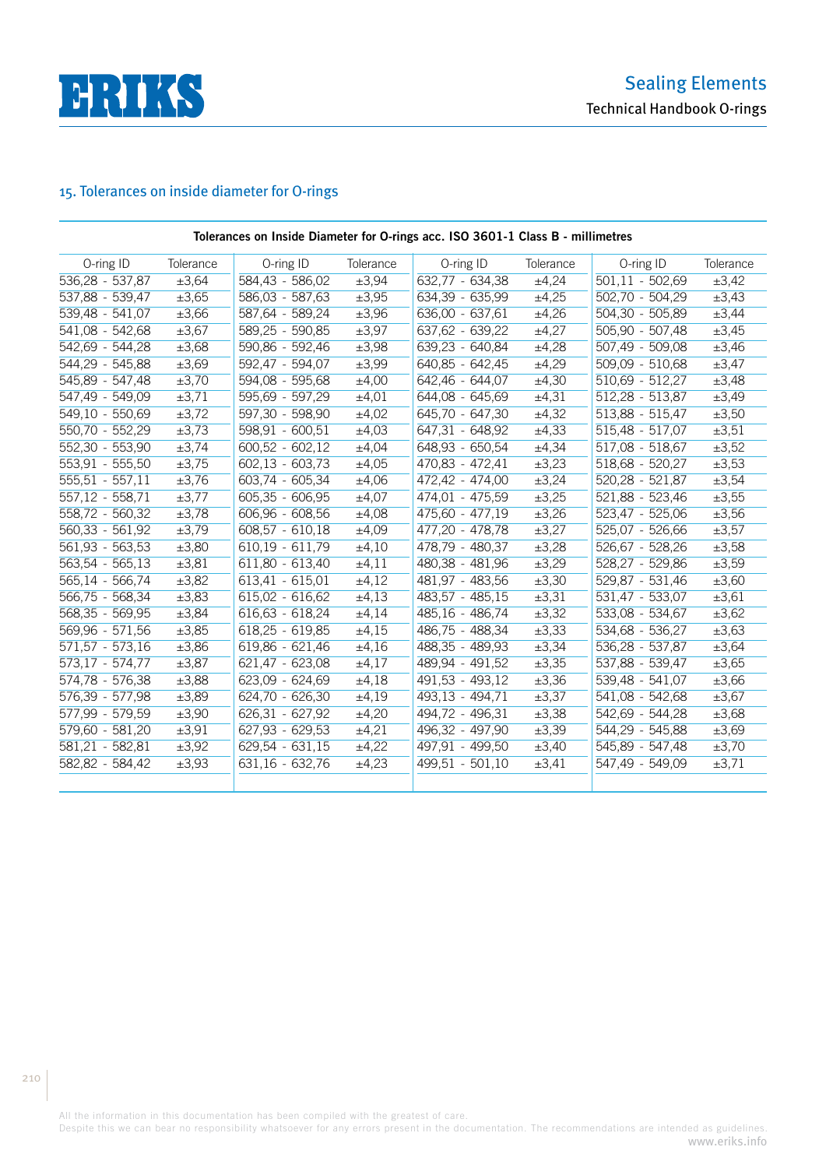

# 15. Tolerances on inside diameter for O-rings

| Tolerances on Inside Diameter for O-rings acc. ISO 3601-1 Class B - millimetres |            |                   |           |                   |            |                   |            |  |  |  |
|---------------------------------------------------------------------------------|------------|-------------------|-----------|-------------------|------------|-------------------|------------|--|--|--|
| O-ring ID                                                                       | Tolerance  | O-ring ID         | Tolerance | O-ring ID         | Tolerance  | O-ring ID         | Tolerance  |  |  |  |
| 536,28 - 537,87                                                                 | ±3,64      | 584,43 - 586,02   | ±3,94     | $632,77 - 634,38$ | ±4,24      | $501,11 - 502,69$ | $\pm 3,42$ |  |  |  |
| 537,88 - 539,47                                                                 | $\pm 3,65$ | 586,03 - 587,63   | ±3,95     | 634,39 - 635,99   | ±4,25      | $502,70 - 504,29$ | $\pm 3,43$ |  |  |  |
| $539,48 - 541,07$                                                               | ±3,66      | 587,64 - 589,24   | ±3,96     | $636,00 - 637,61$ | ±4,26      | $504,30 - 505,89$ | ±3,44      |  |  |  |
| $541,08 - 542,68$                                                               | $\pm 3,67$ | 589,25 - 590,85   | ±3,97     | 637,62 - 639,22   | ±4,27      | $505,90 - 507,48$ | $\pm 3,45$ |  |  |  |
| 542,69 - 544,28                                                                 | ±3,68      | 590,86 - 592,46   | ±3,98     | $639,23 - 640,84$ | ±4,28      | $507,49 - 509,08$ | $\pm 3,46$ |  |  |  |
| 544,29 - 545,88                                                                 | ±3,69      | 592,47 - 594,07   | ±3,99     | $640,85 - 642,45$ | ±4,29      | $509,09 - 510,68$ | $\pm 3,47$ |  |  |  |
| 545,89 - 547,48                                                                 | $\pm 3,70$ | 594,08 - 595,68   | ±4,00     | 642,46 - 644,07   | ±4,30      | $510,69 - 512,27$ | ±3,48      |  |  |  |
| 547,49 - 549,09                                                                 | ±3,71      | 595,69 - 597,29   | ±4,01     | 644,08 - 645,69   | ±4,31      | $512,28 - 513,87$ | ±3,49      |  |  |  |
| 549,10 - 550,69                                                                 | ±3,72      | 597,30 - 598,90   | ±4,02     | 645,70 - 647,30   | ±4,32      | 513,88 - 515,47   | $\pm 3,50$ |  |  |  |
| 550,70 - 552,29                                                                 | ±3,73      | $598,91 - 600,51$ | ±4,03     | 647,31 - 648,92   | ±4,33      | 515,48 - 517,07   | $\pm 3,51$ |  |  |  |
| 552,30 - 553,90                                                                 | ±3,74      | $600,52 - 602,12$ | ±4,04     | $648,93 - 650,54$ | ±4,34      | $517,08 - 518,67$ | $\pm 3,52$ |  |  |  |
| 553,91 - 555,50                                                                 | ±3,75      | $602,13 - 603,73$ | ±4,05     | $470,83 - 472,41$ | $\pm 3,23$ | 518,68 - 520,27   | $\pm 3,53$ |  |  |  |
| $555, 51 - 557, 11$                                                             | $\pm 3,76$ | $603,74 - 605,34$ | ±4,06     | 472,42 - 474,00   | $\pm 3,24$ | $520,28 - 521,87$ | $\pm 3,54$ |  |  |  |
| $557,12 - 558,71$                                                               | $\pm 3,77$ | $605,35 - 606,95$ | ±4,07     | 474,01 - 475,59   | ±3,25      | 521,88 - 523,46   | $\pm 3,55$ |  |  |  |
| 558,72 - 560,32                                                                 | ±3,78      | $606,96 - 608,56$ | ±4,08     | 475,60 - 477,19   | $\pm 3,26$ | 523,47 - 525,06   | $\pm 3,56$ |  |  |  |
| 560,33 - 561,92                                                                 | $\pm 3,79$ | $608,57 - 610,18$ | ±4,09     | 477,20 - 478,78   | $\pm 3,27$ | 525,07 - 526,66   | $\pm 3,57$ |  |  |  |
| $561,93 - 563,53$                                                               | ±3,80      | $610,19 - 611,79$ | ±4,10     | 478,79 - 480,37   | ±3,28      | 526,67 - 528,26   | ±3,58      |  |  |  |
| $563,54 - 565,13$                                                               | ±3,81      | $611,80 - 613,40$ | ±4,11     | 480,38 - 481,96   | $\pm 3,29$ | 528,27 - 529,86   | ±3,59      |  |  |  |
| 565,14 - 566,74                                                                 | ±3,82      | $613,41 - 615,01$ | ±4,12     | 481,97 - 483,56   | ±3,30      | 529,87 - 531,46   | $\pm 3,60$ |  |  |  |
| 566,75 - 568,34                                                                 | ±3,83      | 615,02 - 616,62   | ±4,13     | 483,57 - 485,15   | ±3,31      | 531,47 - 533,07   | $\pm 3,61$ |  |  |  |
| 568,35 - 569,95                                                                 | ±3,84      | 616,63 - 618,24   | ±4,14     | 485,16 - 486,74   | ±3,32      | 533,08 - 534,67   | ±3,62      |  |  |  |
| 569,96 - 571,56                                                                 | ±3,85      | 618,25 - 619,85   | ±4,15     | 486,75 - 488,34   | ±3,33      | 534,68 - 536,27   | $\pm 3,63$ |  |  |  |
| $571,57 - 573,16$                                                               | ±3,86      | 619,86 - 621,46   | ±4,16     | 488,35 - 489,93   | ±3,34      | 536,28 - 537,87   | ±3,64      |  |  |  |
| 573,17 - 574,77                                                                 | ±3,87      | 621,47 - 623,08   | ±4,17     | 489,94 - 491,52   | ±3,35      | 537,88 - 539,47   | $\pm 3,65$ |  |  |  |
| 574,78 - 576,38                                                                 | ±3,88      | 623,09 - 624,69   | ±4,18     | 491,53 - 493,12   | ±3,36      | 539,48 - 541,07   | ±3,66      |  |  |  |
| 576,39 - 577,98                                                                 | ±3,89      | 624,70 - 626,30   | ±4,19     | 493,13 - 494,71   | ±3,37      | 541,08 - 542,68   | $\pm 3,67$ |  |  |  |
| 577,99 - 579,59                                                                 | ±3,90      | 626,31 - 627,92   | ±4,20     | 494,72 - 496,31   | ±3,38      | 542,69 - 544,28   | ±3,68      |  |  |  |
| 579,60 - 581,20                                                                 | ±3,91      | 627,93 - 629,53   | ±4,21     | 496,32 - 497,90   | ±3,39      | 544,29 - 545,88   | $\pm 3,69$ |  |  |  |
| 581,21 - 582,81                                                                 | ±3,92      | 629,54 - 631,15   | ±4,22     | 497,91 - 499,50   | ±3,40      | 545,89 - 547,48   | ±3,70      |  |  |  |
| 582,82 - 584,42                                                                 | ±3,93      | 631,16 - 632,76   | ±4,23     | 499,51 - 501,10   | $\pm 3,41$ | 547,49 - 549,09   | ±3,71      |  |  |  |
|                                                                                 |            |                   |           |                   |            |                   |            |  |  |  |